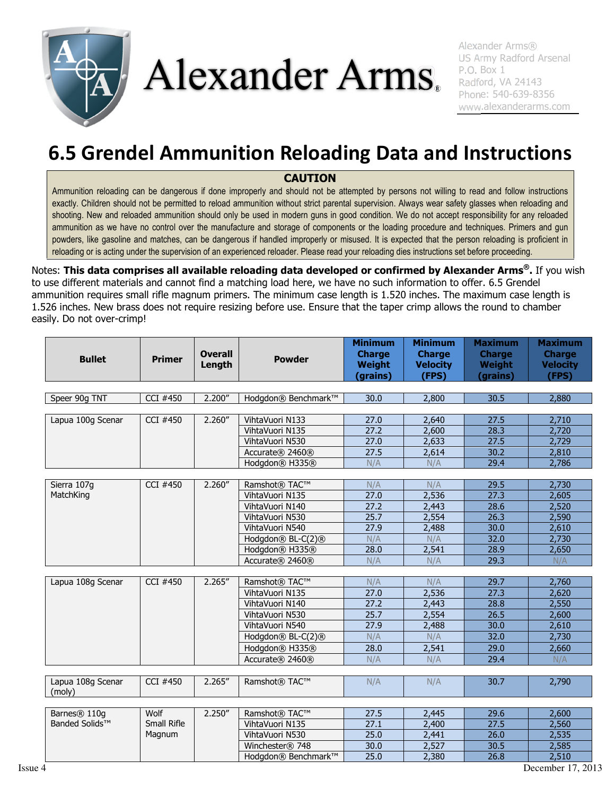

## Alexander Arms.

Alexander Arms® US Army Radford Arsenal P.O. Box 1 Radford, VA 24143 Phone: 540-639-8356 www.alexanderarms.com

## 6.5 Grendel Ammunition Reloading Data and Instructions

## **CAUTION**

Ammunition reloading can be dangerous if done improperly and should not be attempted by persons not willing to read and follow instructions exactly. Children should not be permitted to reload ammunition without strict parental supervision. Always wear safety glasses when reloading and shooting. New and reloaded ammunition should only be used in modern guns in good condition. We do not accept responsibility for any reloaded ammunition as we have no control over the manufacture and storage of components or the loading procedure and techniques. Primers and gun powders, like gasoline and matches, can be dangerous if handled improperly or misused. It is expected that the person reloading is proficient in reloading or is acting under the supervision of an experienced reloader. Please read your reloading dies instructions set before proceeding.

Notes: This data comprises all available reloading data developed or confirmed by Alexander Arms®. If you wish to use different materials and cannot find a matching load here, we have no such information to offer. 6.5 Grendel ammunition requires small rifle magnum primers. The minimum case length is 1.520 inches. The maximum case length is 1.526 inches. New brass does not require resizing before use. Ensure that the taper crimp allows the round to chamber easily. Do not over-crimp!

| <b>Bullet</b>               | <b>Primer</b> | <b>Overall</b><br>Length | <b>Powder</b>        | <b>Minimum</b><br><b>Charge</b><br>Weight<br>(grains) | <b>Minimum</b><br><b>Charge</b><br><b>Velocity</b><br>(FPS) | <b>Maximum</b><br><b>Charge</b><br>Weight<br>(grains) | <b>Maximum</b><br><b>Charge</b><br><b>Velocity</b><br>(FPS) |  |  |
|-----------------------------|---------------|--------------------------|----------------------|-------------------------------------------------------|-------------------------------------------------------------|-------------------------------------------------------|-------------------------------------------------------------|--|--|
|                             |               |                          |                      |                                                       |                                                             |                                                       |                                                             |  |  |
| Speer 90g TNT               | CCI #450      | 2.200''                  | Hodgdon® Benchmark™  | 30.0                                                  | 2,800                                                       | 30.5                                                  | 2,880                                                       |  |  |
| Lapua 100g Scenar           | CCI #450      | 2.260''                  | VihtaVuori N133      | 27.0                                                  | 2,640                                                       | 27.5                                                  | 2,710                                                       |  |  |
|                             |               |                          | VihtaVuori N135      | 27.2                                                  | 2,600                                                       | 28.3                                                  | 2,720                                                       |  |  |
|                             |               |                          | VihtaVuori N530      | 27.0                                                  | 2,633                                                       | 27.5                                                  | 2,729                                                       |  |  |
|                             |               |                          | Accurate® 2460®      | 27.5                                                  | 2,614                                                       | 30.2                                                  | 2,810                                                       |  |  |
|                             |               |                          | Hodgdon® H335®       | N/A                                                   | N/A                                                         | 29.4                                                  | 2,786                                                       |  |  |
|                             |               |                          |                      |                                                       |                                                             |                                                       |                                                             |  |  |
| Sierra 107g                 | CCI #450      | 2.260''                  | Ramshot® TAC™        | N/A                                                   | N/A                                                         | 29.5                                                  | 2,730                                                       |  |  |
| MatchKing                   |               |                          | VihtaVuori N135      | 27.0                                                  | 2,536                                                       | 27.3                                                  | 2,605                                                       |  |  |
|                             |               |                          | VihtaVuori N140      | 27.2                                                  | 2,443                                                       | 28.6                                                  | 2,520                                                       |  |  |
|                             |               |                          | VihtaVuori N530      | 25.7                                                  | 2,554                                                       | 26.3                                                  | 2,590                                                       |  |  |
|                             |               |                          | VihtaVuori N540      | 27.9                                                  | 2,488                                                       | 30.0                                                  | 2,610                                                       |  |  |
|                             |               |                          | Hodgdon® BL-C(2)®    | N/A                                                   | N/A                                                         | 32.0                                                  | 2,730                                                       |  |  |
|                             |               |                          | Hodgdon® H335®       | 28.0                                                  | 2,541                                                       | 28.9                                                  | 2,650                                                       |  |  |
|                             |               |                          | Accurate® 2460®      | N/A                                                   | N/A                                                         | 29.3                                                  | N/A                                                         |  |  |
|                             |               |                          |                      |                                                       |                                                             |                                                       |                                                             |  |  |
| Lapua 108g Scenar           | CCI #450      | 2.265''                  | Ramshot® TAC™        | N/A                                                   | N/A                                                         | 29.7                                                  | 2,760                                                       |  |  |
|                             |               |                          | VihtaVuori N135      | 27.0                                                  | 2,536                                                       | 27.3                                                  | 2,620                                                       |  |  |
|                             |               |                          | VihtaVuori N140      | 27.2                                                  | 2,443                                                       | 28.8                                                  | 2,550                                                       |  |  |
|                             |               |                          | VihtaVuori N530      | 25.7                                                  | 2,554                                                       | 26.5                                                  | 2,600                                                       |  |  |
|                             |               |                          | VihtaVuori N540      | 27.9                                                  | 2,488                                                       | 30.0                                                  | 2,610                                                       |  |  |
|                             |               |                          | Hodgdon® BL-C(2)®    | N/A                                                   | N/A                                                         | 32.0                                                  | 2,730                                                       |  |  |
|                             |               |                          | Hodgdon® H335®       | 28.0                                                  | 2,541                                                       | 29.0                                                  | 2,660                                                       |  |  |
|                             |               |                          | Accurate® 2460®      | N/A                                                   | N/A                                                         | 29.4                                                  | N/A                                                         |  |  |
| Lapua 108g Scenar<br>(moly) | $CCI$ #450    | 2.265''                  | <b>Ramshot® TAC™</b> | N/A                                                   | N/A                                                         | 30.7                                                  | 2,790                                                       |  |  |
|                             |               |                          |                      |                                                       |                                                             |                                                       |                                                             |  |  |
| Barnes® 110g                | Wolf          | 2.250''                  | <b>Ramshot® TAC™</b> | 27.5                                                  | 2,445                                                       | 29.6                                                  | 2,600                                                       |  |  |
| Banded Solids™              | Small Rifle   |                          | VihtaVuori N135      | 27.1                                                  | 2,400                                                       | 27.5                                                  | 2,560                                                       |  |  |
|                             | Magnum        |                          | VihtaVuori N530      | 25.0                                                  | 2,441                                                       | 26.0                                                  | 2,535                                                       |  |  |
|                             |               |                          | Winchester® 748      | 30.0                                                  | 2,527                                                       | 30.5                                                  | 2,585                                                       |  |  |
|                             |               |                          | Hodgdon® Benchmark™  | 25.0                                                  | 2,380                                                       | 26.8                                                  | 2,510                                                       |  |  |